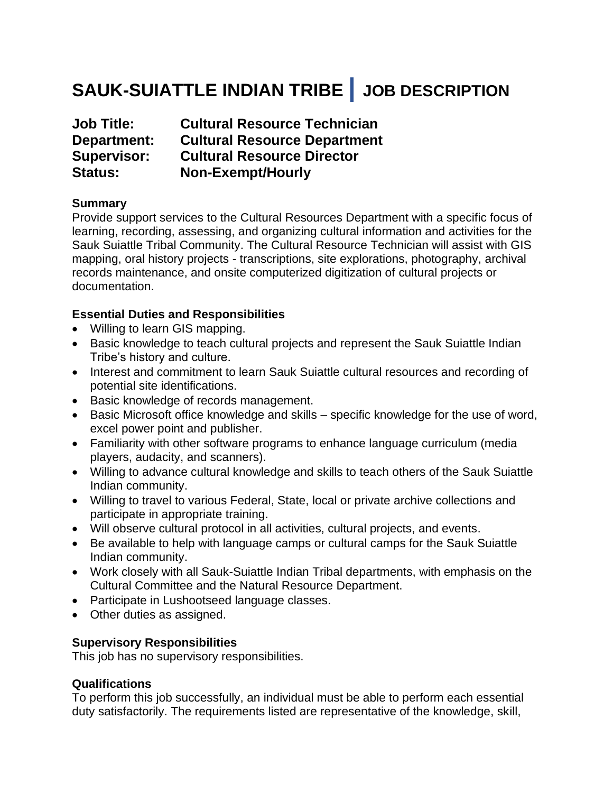# **SAUK-SUIATTLE INDIAN TRIBE | JOB DESCRIPTION**

| <b>Job Title:</b>  | <b>Cultural Resource Technician</b> |
|--------------------|-------------------------------------|
| Department:        | <b>Cultural Resource Department</b> |
| <b>Supervisor:</b> | <b>Cultural Resource Director</b>   |
| <b>Status:</b>     | <b>Non-Exempt/Hourly</b>            |

### **Summary**

Provide support services to the Cultural Resources Department with a specific focus of learning, recording, assessing, and organizing cultural information and activities for the Sauk Suiattle Tribal Community. The Cultural Resource Technician will assist with GIS mapping, oral history projects - transcriptions, site explorations, photography, archival records maintenance, and onsite computerized digitization of cultural projects or documentation.

### **Essential Duties and Responsibilities**

- Willing to learn GIS mapping.
- Basic knowledge to teach cultural projects and represent the Sauk Suiattle Indian Tribe's history and culture.
- Interest and commitment to learn Sauk Suiattle cultural resources and recording of potential site identifications.
- Basic knowledge of records management.
- Basic Microsoft office knowledge and skills specific knowledge for the use of word, excel power point and publisher.
- Familiarity with other software programs to enhance language curriculum (media players, audacity, and scanners).
- Willing to advance cultural knowledge and skills to teach others of the Sauk Suiattle Indian community.
- Willing to travel to various Federal, State, local or private archive collections and participate in appropriate training.
- Will observe cultural protocol in all activities, cultural projects, and events.
- Be available to help with language camps or cultural camps for the Sauk Suiattle Indian community.
- Work closely with all Sauk-Suiattle Indian Tribal departments, with emphasis on the Cultural Committee and the Natural Resource Department.
- Participate in Lushootseed language classes.
- Other duties as assigned.

# **Supervisory Responsibilities**

This job has no supervisory responsibilities.

### **Qualifications**

To perform this job successfully, an individual must be able to perform each essential duty satisfactorily. The requirements listed are representative of the knowledge, skill,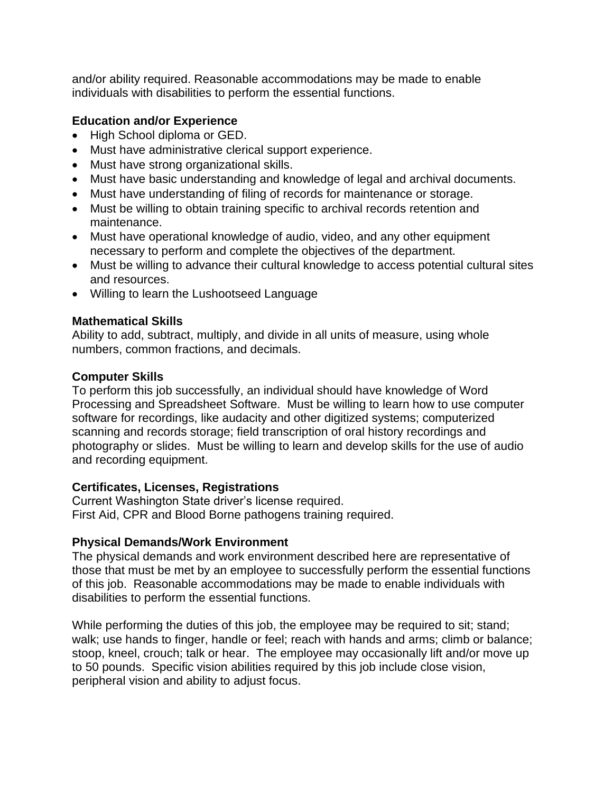and/or ability required. Reasonable accommodations may be made to enable individuals with disabilities to perform the essential functions.

## **Education and/or Experience**

- High School diploma or GED.
- Must have administrative clerical support experience.
- Must have strong organizational skills.
- Must have basic understanding and knowledge of legal and archival documents.
- Must have understanding of filing of records for maintenance or storage.
- Must be willing to obtain training specific to archival records retention and maintenance.
- Must have operational knowledge of audio, video, and any other equipment necessary to perform and complete the objectives of the department.
- Must be willing to advance their cultural knowledge to access potential cultural sites and resources.
- Willing to learn the Lushootseed Language

## **Mathematical Skills**

Ability to add, subtract, multiply, and divide in all units of measure, using whole numbers, common fractions, and decimals.

## **Computer Skills**

To perform this job successfully, an individual should have knowledge of Word Processing and Spreadsheet Software. Must be willing to learn how to use computer software for recordings, like audacity and other digitized systems; computerized scanning and records storage; field transcription of oral history recordings and photography or slides. Must be willing to learn and develop skills for the use of audio and recording equipment.

# **Certificates, Licenses, Registrations**

Current Washington State driver's license required. First Aid, CPR and Blood Borne pathogens training required.

# **Physical Demands/Work Environment**

The physical demands and work environment described here are representative of those that must be met by an employee to successfully perform the essential functions of this job. Reasonable accommodations may be made to enable individuals with disabilities to perform the essential functions.

While performing the duties of this job, the employee may be required to sit; stand; walk; use hands to finger, handle or feel; reach with hands and arms; climb or balance; stoop, kneel, crouch; talk or hear. The employee may occasionally lift and/or move up to 50 pounds. Specific vision abilities required by this job include close vision, peripheral vision and ability to adjust focus.